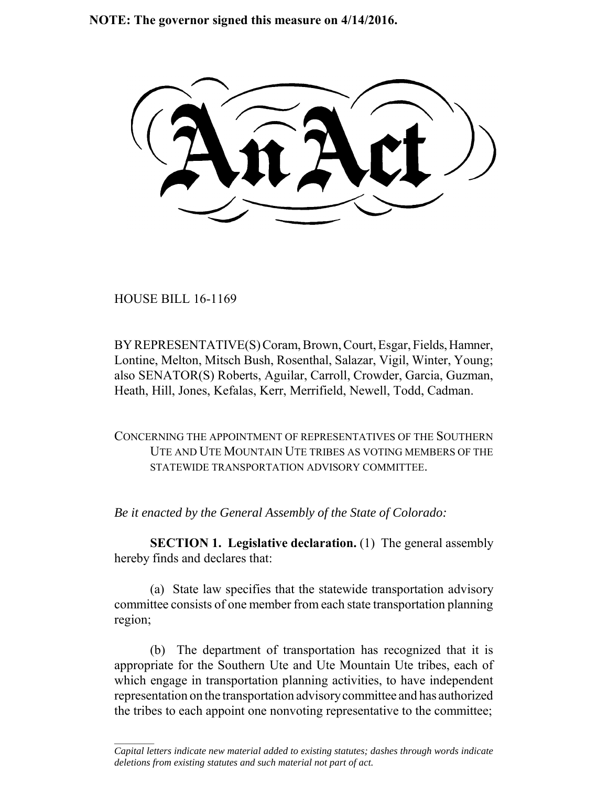**NOTE: The governor signed this measure on 4/14/2016.**

HOUSE BILL 16-1169

 $\frac{1}{2}$ 

BY REPRESENTATIVE(S) Coram, Brown, Court, Esgar, Fields, Hamner, Lontine, Melton, Mitsch Bush, Rosenthal, Salazar, Vigil, Winter, Young; also SENATOR(S) Roberts, Aguilar, Carroll, Crowder, Garcia, Guzman, Heath, Hill, Jones, Kefalas, Kerr, Merrifield, Newell, Todd, Cadman.

CONCERNING THE APPOINTMENT OF REPRESENTATIVES OF THE SOUTHERN UTE AND UTE MOUNTAIN UTE TRIBES AS VOTING MEMBERS OF THE STATEWIDE TRANSPORTATION ADVISORY COMMITTEE.

*Be it enacted by the General Assembly of the State of Colorado:*

**SECTION 1. Legislative declaration.** (1) The general assembly hereby finds and declares that:

(a) State law specifies that the statewide transportation advisory committee consists of one member from each state transportation planning region;

(b) The department of transportation has recognized that it is appropriate for the Southern Ute and Ute Mountain Ute tribes, each of which engage in transportation planning activities, to have independent representation on the transportation advisory committee and has authorized the tribes to each appoint one nonvoting representative to the committee;

*Capital letters indicate new material added to existing statutes; dashes through words indicate deletions from existing statutes and such material not part of act.*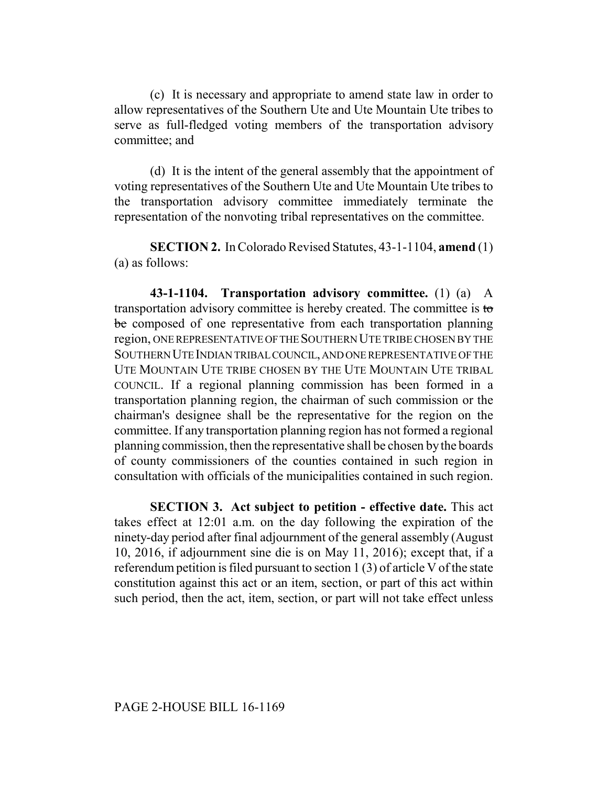(c) It is necessary and appropriate to amend state law in order to allow representatives of the Southern Ute and Ute Mountain Ute tribes to serve as full-fledged voting members of the transportation advisory committee; and

(d) It is the intent of the general assembly that the appointment of voting representatives of the Southern Ute and Ute Mountain Ute tribes to the transportation advisory committee immediately terminate the representation of the nonvoting tribal representatives on the committee.

**SECTION 2.** In Colorado Revised Statutes, 43-1-1104, **amend** (1) (a) as follows:

**43-1-1104. Transportation advisory committee.** (1) (a) A transportation advisory committee is hereby created. The committee is to be composed of one representative from each transportation planning region, ONE REPRESENTATIVE OF THE SOUTHERN UTE TRIBE CHOSEN BY THE SOUTHERN UTE INDIAN TRIBAL COUNCIL, AND ONE REPRESENTATIVE OF THE UTE MOUNTAIN UTE TRIBE CHOSEN BY THE UTE MOUNTAIN UTE TRIBAL COUNCIL. If a regional planning commission has been formed in a transportation planning region, the chairman of such commission or the chairman's designee shall be the representative for the region on the committee. If any transportation planning region has not formed a regional planning commission, then the representative shall be chosen by the boards of county commissioners of the counties contained in such region in consultation with officials of the municipalities contained in such region.

**SECTION 3. Act subject to petition - effective date.** This act takes effect at 12:01 a.m. on the day following the expiration of the ninety-day period after final adjournment of the general assembly (August 10, 2016, if adjournment sine die is on May 11, 2016); except that, if a referendum petition is filed pursuant to section 1 (3) of article V of the state constitution against this act or an item, section, or part of this act within such period, then the act, item, section, or part will not take effect unless